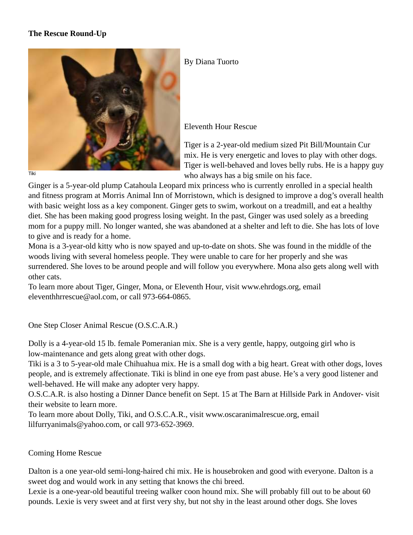# **The Rescue Round-Up**



#### Tiki

#### By Diana Tuorto

### Eleventh Hour Rescue

Tiger is a 2-year-old medium sized Pit Bill/Mountain Cur mix. He is very energetic and loves to play with other dogs. Tiger is well-behaved and loves belly rubs. He is a happy guy who always has a big smile on his face.

Ginger is a 5-year-old plump Catahoula Leopard mix princess who is currently enrolled in a special health and fitness program at Morris Animal Inn of Morristown, which is designed to improve a dog's overall health with basic weight loss as a key component. Ginger gets to swim, workout on a treadmill, and eat a healthy diet. She has been making good progress losing weight. In the past, Ginger was used solely as a breeding mom for a puppy mill. No longer wanted, she was abandoned at a shelter and left to die. She has lots of love to give and is ready for a home.

Mona is a 3-year-old kitty who is now spayed and up-to-date on shots. She was found in the middle of the woods living with several homeless people. They were unable to care for her properly and she was surrendered. She loves to be around people and will follow you everywhere. Mona also gets along well with other cats.

To learn more about Tiger, Ginger, Mona, or Eleventh Hour, visit www.ehrdogs.org, email eleventhhrrescue@aol.com, or call 973-664-0865.

One Step Closer Animal Rescue (O.S.C.A.R.)

Dolly is a 4-year-old 15 lb. female Pomeranian mix. She is a very gentle, happy, outgoing girl who is low-maintenance and gets along great with other dogs.

Tiki is a 3 to 5-year-old male Chihuahua mix. He is a small dog with a big heart. Great with other dogs, loves people, and is extremely affectionate. Tiki is blind in one eye from past abuse. He's a very good listener and well-behaved. He will make any adopter very happy.

O.S.C.A.R. is also hosting a Dinner Dance benefit on Sept. 15 at The Barn at Hillside Park in Andover- visit their website to learn more.

To learn more about Dolly, Tiki, and O.S.C.A.R., visit www.oscaranimalrescue.org, email lilfurryanimals@yahoo.com, or call 973-652-3969.

## Coming Home Rescue

Dalton is a one year-old semi-long-haired chi mix. He is housebroken and good with everyone. Dalton is a sweet dog and would work in any setting that knows the chi breed.

Lexie is a one-year-old beautiful treeing walker coon hound mix. She will probably fill out to be about 60 pounds. Lexie is very sweet and at first very shy, but not shy in the least around other dogs. She loves